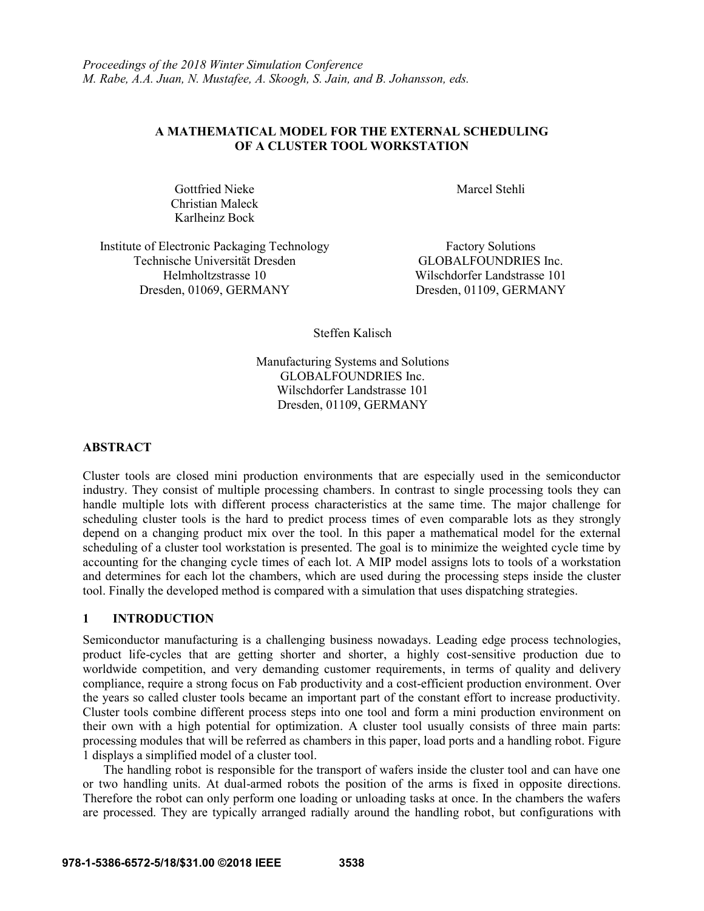# **A MATHEMATICAL MODEL FOR THE EXTERNAL SCHEDULING OF A CLUSTER TOOL WORKSTATION**

Gottfried Nieke Christian Maleck Karlheinz Bock

Marcel Stehli

Institute of Electronic Packaging Technology Factory Solutions Technische Universität Dresden GLOBALFOUNDRIES Inc. Helmholtzstrasse 10 Wilschdorfer Landstrasse 101 Dresden, 01069, GERMANY Dresden, 01109, GERMANY

Steffen Kalisch

Manufacturing Systems and Solutions GLOBALFOUNDRIES Inc. Wilschdorfer Landstrasse 101 Dresden, 01109, GERMANY

### **ABSTRACT**

Cluster tools are closed mini production environments that are especially used in the semiconductor industry. They consist of multiple processing chambers. In contrast to single processing tools they can handle multiple lots with different process characteristics at the same time. The major challenge for scheduling cluster tools is the hard to predict process times of even comparable lots as they strongly depend on a changing product mix over the tool. In this paper a mathematical model for the external scheduling of a cluster tool workstation is presented. The goal is to minimize the weighted cycle time by accounting for the changing cycle times of each lot. A MIP model assigns lots to tools of a workstation and determines for each lot the chambers, which are used during the processing steps inside the cluster tool. Finally the developed method is compared with a simulation that uses dispatching strategies.

# **1 INTRODUCTION**

Semiconductor manufacturing is a challenging business nowadays. Leading edge process technologies, product life-cycles that are getting shorter and shorter, a highly cost-sensitive production due to worldwide competition, and very demanding customer requirements, in terms of quality and delivery compliance, require a strong focus on Fab productivity and a cost-efficient production environment. Over the years so called cluster tools became an important part of the constant effort to increase productivity. Cluster tools combine different process steps into one tool and form a mini production environment on their own with a high potential for optimization. A cluster tool usually consists of three main parts: processing modules that will be referred as chambers in this paper, load ports and a handling robot. Figure 1 displays a simplified model of a cluster tool.

The handling robot is responsible for the transport of wafers inside the cluster tool and can have one or two handling units. At dual-armed robots the position of the arms is fixed in opposite directions. Therefore the robot can only perform one loading or unloading tasks at once. In the chambers the wafers are processed. They are typically arranged radially around the handling robot, but configurations with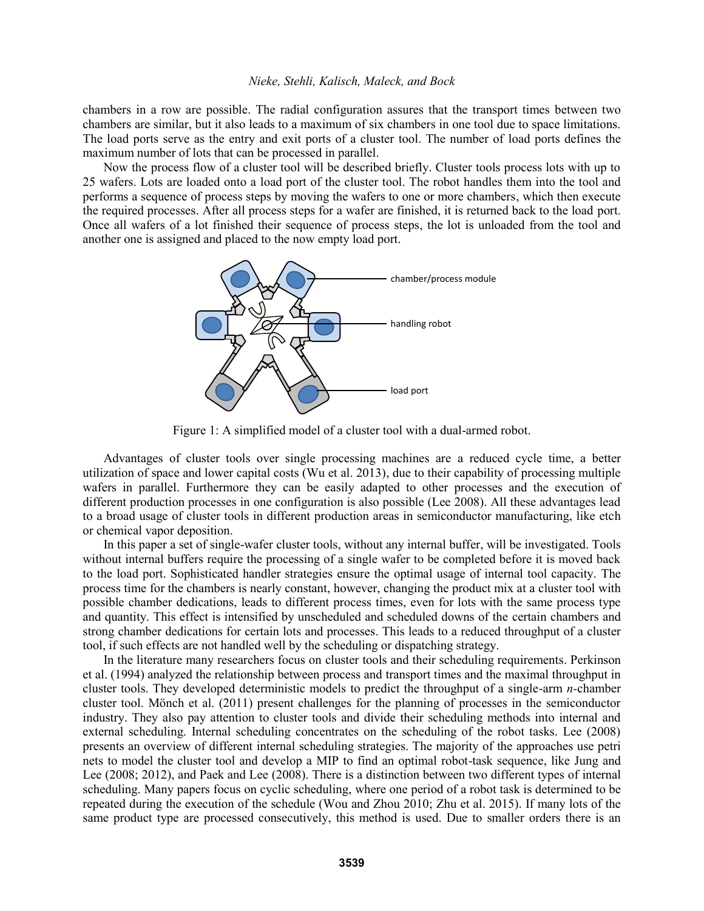chambers in a row are possible. The radial configuration assures that the transport times between two chambers are similar, but it also leads to a maximum of six chambers in one tool due to space limitations. The load ports serve as the entry and exit ports of a cluster tool. The number of load ports defines the maximum number of lots that can be processed in parallel.

Now the process flow of a cluster tool will be described briefly. Cluster tools process lots with up to 25 wafers. Lots are loaded onto a load port of the cluster tool. The robot handles them into the tool and performs a sequence of process steps by moving the wafers to one or more chambers, which then execute the required processes. After all process steps for a wafer are finished, it is returned back to the load port. Once all wafers of a lot finished their sequence of process steps, the lot is unloaded from the tool and another one is assigned and placed to the now empty load port.



Figure 1: A simplified model of a cluster tool with a dual-armed robot.

Advantages of cluster tools over single processing machines are a reduced cycle time, a better utilization of space and lower capital costs (Wu et al. 2013), due to their capability of processing multiple wafers in parallel. Furthermore they can be easily adapted to other processes and the execution of different production processes in one configuration is also possible (Lee 2008). All these advantages lead to a broad usage of cluster tools in different production areas in semiconductor manufacturing, like etch or chemical vapor deposition.

In this paper a set of single-wafer cluster tools, without any internal buffer, will be investigated. Tools without internal buffers require the processing of a single wafer to be completed before it is moved back to the load port. Sophisticated handler strategies ensure the optimal usage of internal tool capacity. The process time for the chambers is nearly constant, however, changing the product mix at a cluster tool with possible chamber dedications, leads to different process times, even for lots with the same process type and quantity. This effect is intensified by unscheduled and scheduled downs of the certain chambers and strong chamber dedications for certain lots and processes. This leads to a reduced throughput of a cluster tool, if such effects are not handled well by the scheduling or dispatching strategy.

In the literature many researchers focus on cluster tools and their scheduling requirements. Perkinson et al. (1994) analyzed the relationship between process and transport times and the maximal throughput in cluster tools. They developed deterministic models to predict the throughput of a single-arm *n-*chamber cluster tool. Mönch et al. (2011) present challenges for the planning of processes in the semiconductor industry. They also pay attention to cluster tools and divide their scheduling methods into internal and external scheduling. Internal scheduling concentrates on the scheduling of the robot tasks. Lee (2008) presents an overview of different internal scheduling strategies. The majority of the approaches use petri nets to model the cluster tool and develop a MIP to find an optimal robot-task sequence, like Jung and Lee (2008; 2012), and Paek and Lee (2008). There is a distinction between two different types of internal scheduling. Many papers focus on cyclic scheduling, where one period of a robot task is determined to be repeated during the execution of the schedule (Wou and Zhou 2010; Zhu et al. 2015). If many lots of the same product type are processed consecutively, this method is used. Due to smaller orders there is an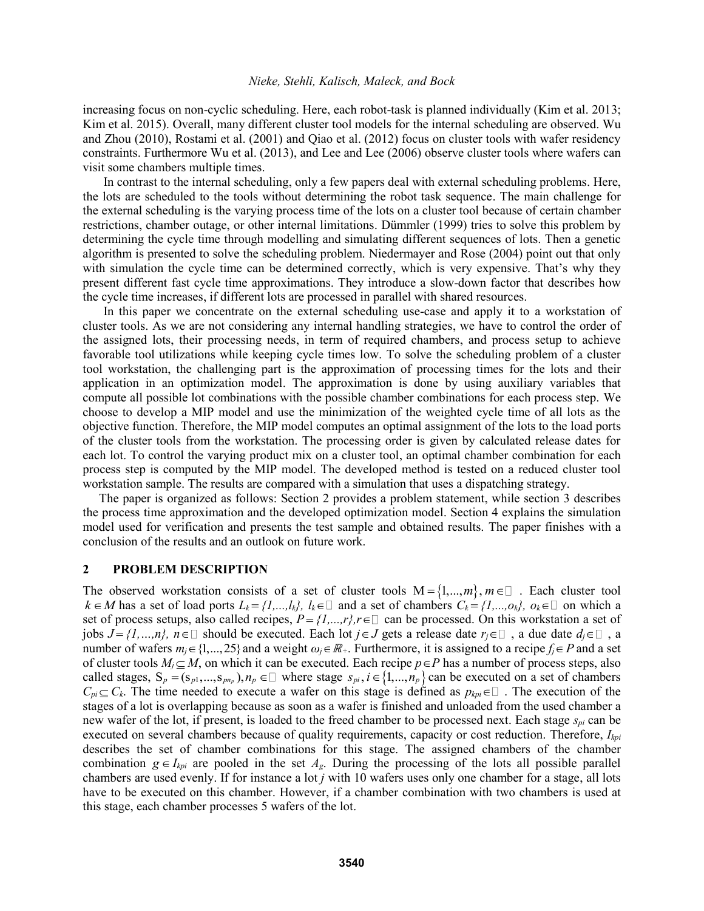increasing focus on non-cyclic scheduling. Here, each robot-task is planned individually (Kim et al. 2013; Kim et al. 2015). Overall, many different cluster tool models for the internal scheduling are observed. Wu and Zhou (2010), Rostami et al. (2001) and Qiao et al. (2012) focus on cluster tools with wafer residency constraints. Furthermore Wu et al. (2013), and Lee and Lee (2006) observe cluster tools where wafers can visit some chambers multiple times.

In contrast to the internal scheduling, only a few papers deal with external scheduling problems. Here, the lots are scheduled to the tools without determining the robot task sequence. The main challenge for the external scheduling is the varying process time of the lots on a cluster tool because of certain chamber restrictions, chamber outage, or other internal limitations. Dümmler (1999) tries to solve this problem by determining the cycle time through modelling and simulating different sequences of lots. Then a genetic algorithm is presented to solve the scheduling problem. Niedermayer and Rose (2004) point out that only with simulation the cycle time can be determined correctly, which is very expensive. That's why they present different fast cycle time approximations. They introduce a slow-down factor that describes how the cycle time increases, if different lots are processed in parallel with shared resources.

In this paper we concentrate on the external scheduling use-case and apply it to a workstation of cluster tools. As we are not considering any internal handling strategies, we have to control the order of the assigned lots, their processing needs, in term of required chambers, and process setup to achieve favorable tool utilizations while keeping cycle times low. To solve the scheduling problem of a cluster tool workstation, the challenging part is the approximation of processing times for the lots and their application in an optimization model. The approximation is done by using auxiliary variables that compute all possible lot combinations with the possible chamber combinations for each process step. We choose to develop a MIP model and use the minimization of the weighted cycle time of all lots as the objective function. Therefore, the MIP model computes an optimal assignment of the lots to the load ports of the cluster tools from the workstation. The processing order is given by calculated release dates for each lot. To control the varying product mix on a cluster tool, an optimal chamber combination for each process step is computed by the MIP model. The developed method is tested on a reduced cluster tool workstation sample. The results are compared with a simulation that uses a dispatching strategy.

The paper is organized as follows: Section 2 provides a problem statement, while section 3 describes the process time approximation and the developed optimization model. Section 4 explains the simulation model used for verification and presents the test sample and obtained results. The paper finishes with a conclusion of the results and an outlook on future work.

## **2 PROBLEM DESCRIPTION**

The observed workstation consists of a set of cluster tools  $M = \{1,...,m\}$ ,  $m \in \mathbb{Z}$ . Each cluster tool  $k \in M$  has a set of load ports  $L_k = \{1, ..., l_k\}$ ,  $l_k \in \mathbb{D}$  and a set of chambers  $C_k = \{1, ..., o_k\}$ ,  $o_k \in \mathbb{D}$  on which a set of process setups, also called recipes,  $P = \{1, ..., r\}$ ,  $r \in \Box$  can be processed. On this workstation a set of jobs  $J = \{1, ..., n\}$ ,  $n \in \mathbb{Z}$  should be executed. Each lot  $j \in J$  gets a release date  $r_j \in \mathbb{Z}$ , a due date  $d_j \in \mathbb{Z}$ , a number of wafers  $m_j \in \{1, ..., 25\}$  and a weight  $\omega_j \in \mathbb{R}_+$ . Furthermore, it is assigned to a recipe  $f_j \in P$  and a set of cluster tools  $M_j \subseteq M$ , on which it can be executed. Each recipe  $p \in P$  has a number of process steps, also called stages,  $S_p = (s_{p1},...,s_{pnp})$ ,  $n_p \in \mathbb{D}$  where stage  $s_{pi}$ ,  $i \in \{1,...,n_p\}$  can be executed on a set of chambers  $C_{pi} \subseteq C_k$ . The time needed to execute a wafer on this stage is defined as  $p_{kpi} \in \Box$ . The execution of the stages of a lot is overlapping because as soon as a wafer is finished and unloaded from the used chamber a new wafer of the lot, if present, is loaded to the freed chamber to be processed next. Each stage *spi* can be executed on several chambers because of quality requirements, capacity or cost reduction. Therefore, *Ikpi* describes the set of chamber combinations for this stage. The assigned chambers of the chamber combination  $g \in I_{kpi}$  are pooled in the set  $A_g$ . During the processing of the lots all possible parallel chambers are used evenly. If for instance a lot *j* with 10 wafers uses only one chamber for a stage, all lots have to be executed on this chamber. However, if a chamber combination with two chambers is used at this stage, each chamber processes 5 wafers of the lot.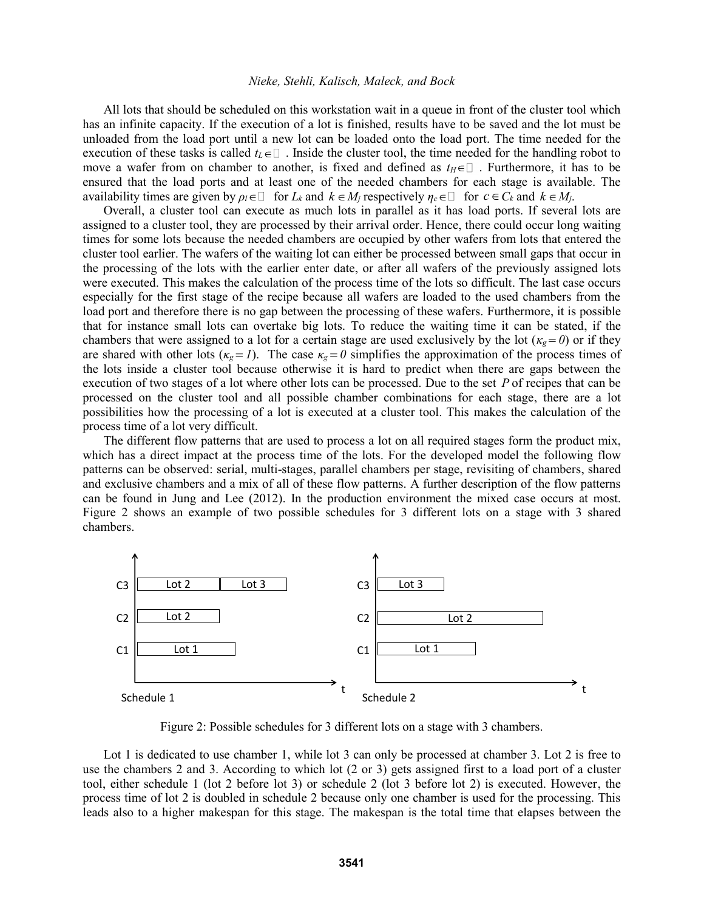All lots that should be scheduled on this workstation wait in a queue in front of the cluster tool which has an infinite capacity. If the execution of a lot is finished, results have to be saved and the lot must be unloaded from the load port until a new lot can be loaded onto the load port. The time needed for the execution of these tasks is called  $t_L \in \square$ . Inside the cluster tool, the time needed for the handling robot to move a wafer from on chamber to another, is fixed and defined as  $t_H \in \square$ . Furthermore, it has to be ensured that the load ports and at least one of the needed chambers for each stage is available. The availability times are given by  $\rho_l \in \Box$  for  $L_k$  and  $k \in M_j$  respectively  $\eta_c \in \Box$  for  $c \in C_k$  and  $k \in M_j$ .

Overall, a cluster tool can execute as much lots in parallel as it has load ports. If several lots are assigned to a cluster tool, they are processed by their arrival order. Hence, there could occur long waiting times for some lots because the needed chambers are occupied by other wafers from lots that entered the cluster tool earlier. The wafers of the waiting lot can either be processed between small gaps that occur in the processing of the lots with the earlier enter date, or after all wafers of the previously assigned lots were executed. This makes the calculation of the process time of the lots so difficult. The last case occurs especially for the first stage of the recipe because all wafers are loaded to the used chambers from the load port and therefore there is no gap between the processing of these wafers. Furthermore, it is possible that for instance small lots can overtake big lots. To reduce the waiting time it can be stated, if the chambers that were assigned to a lot for a certain stage are used exclusively by the lot ( $\kappa_g = 0$ ) or if they are shared with other lots  $(\kappa_g = I)$ . The case  $\kappa_g = 0$  simplifies the approximation of the process times of the lots inside a cluster tool because otherwise it is hard to predict when there are gaps between the execution of two stages of a lot where other lots can be processed. Due to the set P of recipes that can be processed on the cluster tool and all possible chamber combinations for each stage, there are a lot possibilities how the processing of a lot is executed at a cluster tool. This makes the calculation of the process time of a lot very difficult.

The different flow patterns that are used to process a lot on all required stages form the product mix, which has a direct impact at the process time of the lots. For the developed model the following flow patterns can be observed: serial, multi-stages, parallel chambers per stage, revisiting of chambers, shared and exclusive chambers and a mix of all of these flow patterns. A further description of the flow patterns can be found in Jung and Lee (2012). In the production environment the mixed case occurs at most. Figure 2 shows an example of two possible schedules for 3 different lots on a stage with 3 shared chambers.



Figure 2: Possible schedules for 3 different lots on a stage with 3 chambers.

Lot 1 is dedicated to use chamber 1, while lot 3 can only be processed at chamber 3. Lot 2 is free to use the chambers 2 and 3. According to which lot (2 or 3) gets assigned first to a load port of a cluster tool, either schedule 1 (lot 2 before lot 3) or schedule 2 (lot 3 before lot 2) is executed. However, the process time of lot 2 is doubled in schedule 2 because only one chamber is used for the processing. This leads also to a higher makespan for this stage. The makespan is the total time that elapses between the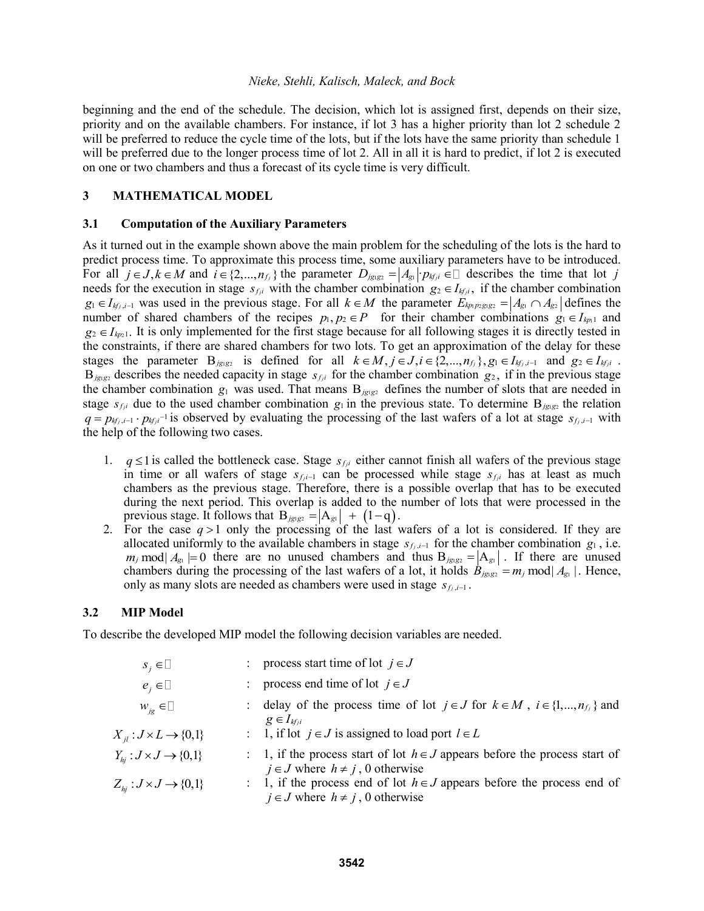beginning and the end of the schedule. The decision, which lot is assigned first, depends on their size, priority and on the available chambers. For instance, if lot 3 has a higher priority than lot 2 schedule 2 will be preferred to reduce the cycle time of the lots, but if the lots have the same priority than schedule 1 will be preferred due to the longer process time of lot 2. All in all it is hard to predict, if lot 2 is executed on one or two chambers and thus a forecast of its cycle time is very difficult.

# **3 MATHEMATICAL MODEL**

### **3.1 Computation of the Auxiliary Parameters**

As it turned out in the example shown above the main problem for the scheduling of the lots is the hard to predict process time. To approximate this process time, some auxiliary parameters have to be introduced. For all  $j \in J, k \in M$  and  $i \in \{2, ..., n_j\}$  the parameter  $D_{j g_1 g_2} = |A_{g_1}| \cdot p_{h_j i} \in \mathbb{I}$  describes the time that lot *j* needs for the execution in stage  $s_{fji}$  with the chamber combination  $g_2 \in I_{kfi}$ , if the chamber combination  $g_1 \in I_{kj,i-1}$  was used in the previous stage. For all  $k \in M$  the parameter  $E_{kp_1p_2g_1g_2} = |A_{g_1} \cap A_{g_2}|$  defines the number of shared chambers of the recipes  $p_1, p_2 \in P$  for their chamber combinations  $g_1 \in I_{kp_1}$  and  $g_2 \in I_{kp_2}$ . It is only implemented for the first stage because for all following stages it is directly tested in the constraints, if there are shared chambers for two lots. To get an approximation of the delay for these the constraints, if there are shared chambers for two lots. To get an approximation of the delay for these stages the parameter  $B_{jgs_2}$  is defined for all  $k \in M, j \in J, i \in \{2,...,n_{fj}\}, g_1 \in I_{kf_j, i-1}$  and  $g_2 \in I_{kf_j}$ .  $B_{jgs}$  describes the needed capacity in stage  $s_{fji}$  for the chamber combination  $g_2$ , if in the previous stage the chamber combination  $g_1$  was used. That means  $B_{jgs}$  defines the number of slots that are needed in stage  $s_{f,i}$  due to the used chamber combination  $g_1$  in the previous state. To determine  $B_{jgs_1g_2}$  the relation  $q = p_{kf_j,i-1} \cdot p_{kf_j,i}$ <sup>-1</sup> is observed by evaluating the processing of the last wafers of a lot at stage  $s_{f_j,i-1}$  with the help of the following two cases.

- 1.  $q \leq 1$  is called the bottleneck case. Stage  $s_{fji}$  either cannot finish all wafers of the previous stage in time or all wafers of stage  $s_{f,i-1}$  can be processed while stage  $s_{f,i}$  has at least as much chambers as the previous stage. Therefore, there is a possible overlap that has to be executed during the next period. This overlap is added to the number of lots that were processed in the previous stage. It follows that  $B_{jgsg2} = |A_{gt}| + (1-q)$ .
- 2. For the case  $q > 1$  only the processing of the last wafers of a lot is considered. If they are allocated uniformly to the available chambers in stage  $s_{f_j,i-1}$  for the chamber combination  $g_1$ , i.e.  $m_j$  mod  $A_{g_1}$  = 0 there are no unused chambers and thus  $B_{j g_1 g_2} = |A_{g_1}|$ . If there are unused chambers during the processing of the last wafers of a lot, it holds  $B_{jgyg_2} = m_j \text{ mod } |A_{g_1}|$ . Hence, only as many slots are needed as chambers were used in stage  $s_{f_j,i-1}$ .

### **3.2 MIP Model**

To describe the developed MIP model the following decision variables are needed.

| $S_i \in \square$                        | : process start time of lot $j \in J$                                                                                      |
|------------------------------------------|----------------------------------------------------------------------------------------------------------------------------|
| $e_i \in \Box$                           | process end time of lot $j \in J$                                                                                          |
| $W_{i} \in \square$                      | : delay of the process time of lot $j \in J$ for $k \in M$ , $i \in \{1,,n_{f_i}\}\$ and<br>$g \in I_{k f_i i}$            |
| $X_{il}: J \times L \rightarrow \{0,1\}$ | : 1, if lot $j \in J$ is assigned to load port $l \in L$                                                                   |
| $Y_{hi}: J \times J \rightarrow \{0,1\}$ | : 1, if the process start of lot $h \in J$ appears before the process start of<br>$j \in J$ where $h \neq j$ , 0 otherwise |
| $Z_{hi}: J \times J \rightarrow \{0,1\}$ | : 1, if the process end of lot $h \in J$ appears before the process end of<br>$j \in J$ where $h \neq j$ , 0 otherwise     |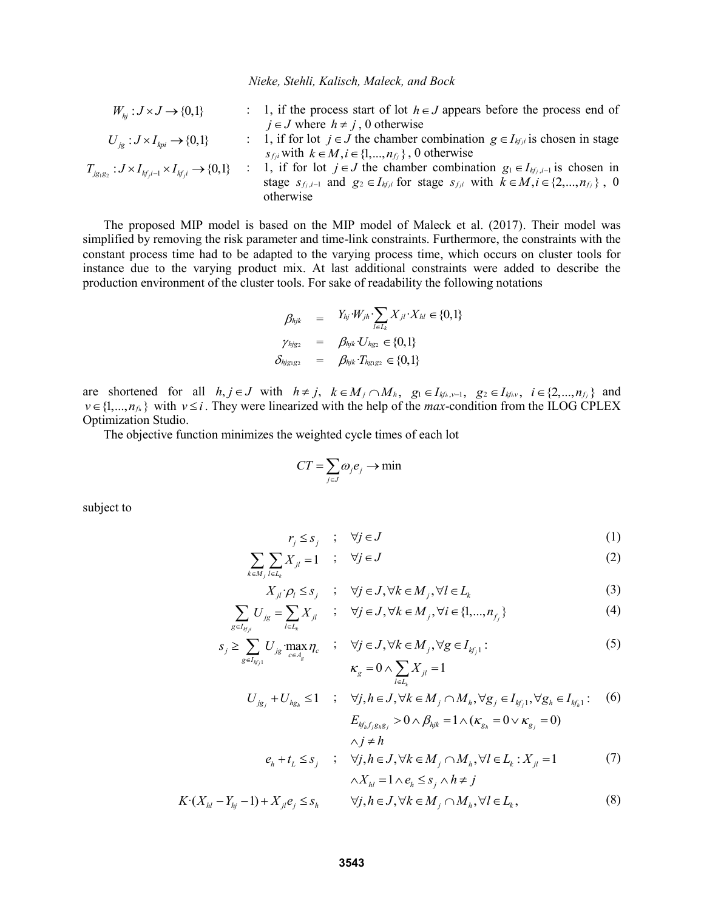$W_{hi}: J \times J \rightarrow \{0,1\}$ : 1, if the process start of lot  $h \in J$  appears before the process end of  $j \in J$  where  $h \neq j$ , 0 otherwise  $U_{i} : J \times I_{k} \rightarrow \{0,1\}$ : 1, if for lot  $j \in J$  the chamber combination  $g \in I_{k f_i}$  is chosen in stage *s*<sub>*fji</sub>* with  $k \in M, i \in \{1, ..., n_f\}$ , 0 otherwise</sub>  $T_{j_{g_1g_2}}: J \times I_{k f_j i-1} \times I_{k f_j i} \rightarrow \{0,1\}$ : 1, if for lot  $j \in J$  the chamber combination  $g_1 \in I_{kf_j,i-1}$  is chosen in stage  $s_{f_j,i-1}$  and  $g_2 \in I_{kfji}$  for stage  $s_{fji}$  with  $k \in M, i \in \{2,...,n_{fj}\}\$ , 0 otherwise

The proposed MIP model is based on the MIP model of Maleck et al. (2017). Their model was simplified by removing the risk parameter and time-link constraints. Furthermore, the constraints with the constant process time had to be adapted to the varying process time, which occurs on cluster tools for instance due to the varying product mix. At last additional constraints were added to describe the production environment of the cluster tools. For sake of readability the following notations

$$
\begin{array}{rcl}\n\beta_{hjk} & = & Y_{hj} \cdot W_{jh} \cdot \sum_{l \in L_k} X_{jl} \cdot X_{hl} \in \{0, 1\} \\
\gamma_{hjg2} & = & \beta_{hjk} \cdot U_{hg2} \in \{0, 1\} \\
\delta_{hjg1g2} & = & \beta_{hjk} \cdot T_{hg1g2} \in \{0, 1\}\n\end{array}
$$

are shortened for all  $h, j \in J$  with  $h \neq j$ ,  $k \in M_j \cap M_h$ ,  $g_1 \in I_{kfn,v-1}$ ,  $g_2 \in I_{kfn,v}$ ,  $i \in \{2,...,n_{fj}\}$  and  $v \in \{1, ..., n_{f_h}\}\$  with  $v \leq i$ . They were linearized with the help of the *max*-condition from the ILOG CPLEX Optimization Studio.

The objective function minimizes the weighted cycle times of each lot

$$
CT = \sum_{j \in J} \omega_j e_j \to \min
$$

subject to

$$
r_j \leq s_j \quad ; \quad \forall j \in J \tag{1}
$$

$$
\sum_{k \in M_j} \sum_{l \in L_k} X_{jl} = 1 \quad ; \quad \forall j \in J \tag{2}
$$

$$
X_{jl} \cdot \rho_l \leq s_j \quad ; \quad \forall j \in J, \forall k \in M_j, \forall l \in L_k \tag{3}
$$

$$
\sum_{g \in I_{kjji}} U_{jg} = \sum_{l \in L_k} X_{jl} \qquad ; \quad \forall j \in J, \forall k \in M_j, \forall i \in \{1, ..., n_{f_j}\}
$$
 (4)

$$
s_j \ge \sum_{g \in I_{kj_1}} U_{jg} \max_{c \in A_g} \eta_c \quad ; \quad \forall j \in J, \forall k \in M_j, \forall g \in I_{kj_1}:
$$
  

$$
\kappa_g = 0 \wedge \sum_{l \in L_k} X_{jl} = 1
$$
 (5)

$$
K_{g} = 0 \times \sum_{l \in I_{k}} X_{jl} = 1
$$
  
\n
$$
U_{j_{g_{j}}} + U_{h_{g_{h}}} \le 1 \quad ; \quad \forall j, h \in J, \forall k \in M_{j} \cap M_{h}, \forall g_{j} \in I_{k_{j}, 1}, \forall g_{h} \in I_{k_{h}, 1} : (6)
$$
  
\n
$$
E_{k_{h}, j_{g_{h}, g_{j}}} > 0 \times \beta_{h_{j}, k} = 1 \times (\kappa_{g_{h}} = 0 \times \kappa_{g_{j}} = 0)
$$

$$
\begin{aligned}\n&\wedge j \neq h \\
&e_h + t_L \leq s_j &;\n\quad \forall j, h \in J, \forall k \in M_j \cap M_h, \forall l \in L_k : X_{jl} = 1 \\
&\wedge X_{hl} = 1 \wedge e_h \leq s_j \wedge h \neq j\n\end{aligned} \tag{7}
$$

$$
K \cdot (X_{hl} - Y_{hl} - 1) + X_{jl} e_j \leq s_h \qquad \forall j, h \in J, \forall k \in M_j \cap M_h, \forall l \in L_k,
$$
\n
$$
(8)
$$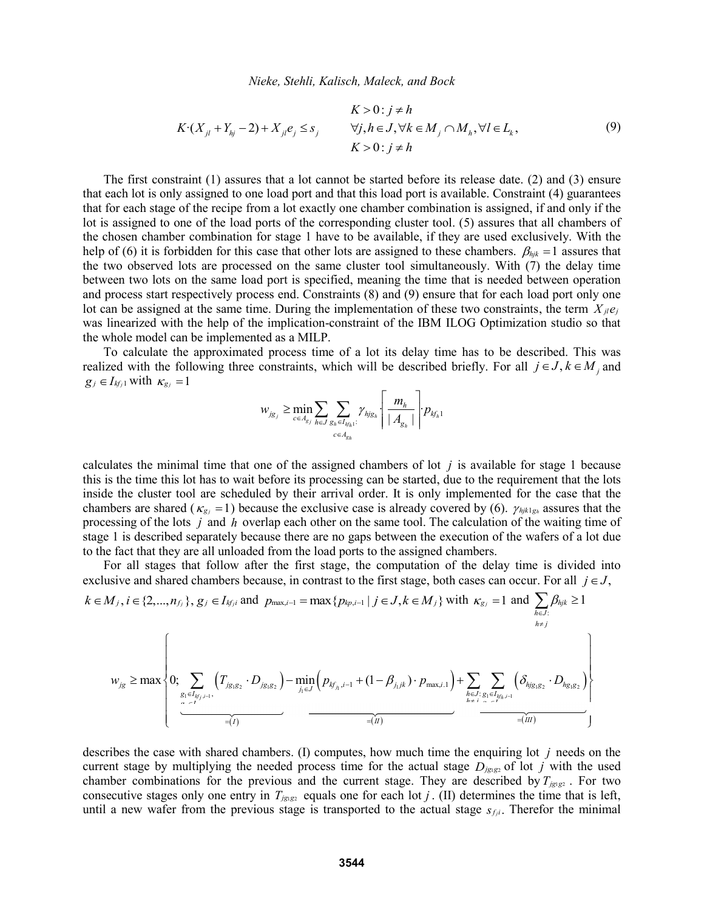$$
K > 0: j \neq h
$$
  
\n
$$
K \cdot (X_{jl} + Y_{hj} - 2) + X_{jl}e_j \leq s_j
$$
  
\n
$$
\forall j, h \in J, \forall k \in M_j \cap M_h, \forall l \in L_k,
$$
  
\n
$$
K > 0: j \neq h
$$
  
\n(9)

The first constraint (1) assures that a lot cannot be started before its release date. (2) and (3) ensure that each lot is only assigned to one load port and that this load port is available. Constraint (4) guarantees that for each stage of the recipe from a lot exactly one chamber combination is assigned, if and only if the lot is assigned to one of the load ports of the corresponding cluster tool. (5) assures that all chambers of the chosen chamber combination for stage 1 have to be available, if they are used exclusively. With the help of (6) it is forbidden for this case that other lots are assigned to these chambers.  $\beta_{hjk} = 1$  assures that the two observed lots are processed on the same cluster tool simultaneously. With (7) the delay time between two lots on the same load port is specified, meaning the time that is needed between operation and process start respectively process end. Constraints (8) and (9) ensure that for each load port only one lot can be assigned at the same time. During the implementation of these two constraints, the term  $X_{jl}e_j$ was linearized with the help of the implication-constraint of the IBM ILOG Optimization studio so that the whole model can be implemented as a MILP.

To calculate the approximated process time of a lot its delay time has to be described. This was realized with the following three constraints, which will be described briefly. For all  $j \in J, k \in M_j$  and  $g_j \in I_{kj}$  with  $\kappa_{g_j} = 1$ 

$$
w_{j_{g_j}} \ge \min_{c \in A_{g_j}} \sum_{h \in J} \sum_{g_h \in I_{kfn} : \atop c \in A_{g_h}} \gamma_{hj_{g_h}} \left\lfloor \frac{m_{_h}}{\left| A_{g_h} \right|} \right\rceil p_{kfn}.
$$

calculates the minimal time that one of the assigned chambers of lot  $j$  is available for stage 1 because this is the time this lot has to wait before its processing can be started, due to the requirement that the lots inside the cluster tool are scheduled by their arrival order. It is only implemented for the case that the chambers are shared ( $\kappa_{g}$  = 1) because the exclusive case is already covered by (6).  $\gamma_{hjk1g}$  assures that the processing of the lots *j* and *h* overlap each other on the same tool. The calculation of the waiting time of stage 1 is described separately because there are no gaps between the execution of the wafers of a lot due to the fact that they are all unloaded from the load ports to the assigned chambers.

For all stages that follow after the first stage, the computation of the delay time is divided into exclusive and shared chambers because, in contrast to the first stage, both cases can occur. For all  $j \in J$ ,

$$
W_{jg} \ge \max \left\{ 0; \sum_{g_1 \in I_{kj_j,i-1}} \left( T_{jg_1g_2} \cdot D_{jg_1g_2} \right) - \min_{j_1 \in J} \left( p_{kj_{j,i-1}} + (1 - \beta_{j_1jk}) \cdot p_{\max,i,1} \right) + \sum_{h \in J: \atop h \ne j} \sum_{g_1 \in I_{kj_h,i-1}} \left( \delta_{hjg_1g_2} \cdot D_{hg_1g_2} \right) \right\}
$$
\n
$$
W_{jg} \ge \max \left\{ 0; \sum_{g_1 \in I_{kj_j,i-1}} \left( T_{jg_1g_2} \cdot D_{jg_1g_2} \right) - \min_{j_1 \in J} \left( p_{kj_{j,i-1}} + (1 - \beta_{j_1jk}) \cdot p_{\max,i,1} \right) + \sum_{h \in J: \atop h \ne j} \sum_{g_1 \in I_{kj_h,i-1}} \left( \delta_{hjg_1g_2} \cdot D_{hg_1g_2} \right) \right\}
$$
\n
$$
= (n) \qquad \text{where } \alpha \in J_{j} \text{ and } \beta \in J_{j} \text{ and } \beta \in J_{j} \text{ and } \beta \in J_{j} \text{ and } \beta \in J_{j} \text{ and } \beta \in J_{j} \text{ and } \beta \in J_{j} \text{ and } \beta \in J_{j} \text{ and } \beta \in J_{j} \text{ and } \beta \in J_{j} \text{ and } \beta \in J_{j} \text{ and } \beta \in J_{j} \text{ and } \beta \in J_{j} \text{ and } \beta \in J_{j} \text{ and } \beta \in J_{j} \text{ and } \beta \in J_{j} \text{ and } \beta \in J_{j} \text{ and } \beta \in J_{j} \text{ and } \beta \in J_{j} \text{ and } \beta \in J_{j} \text{ and } \beta \in J_{j} \text{ and } \beta \in J_{j} \text{ and } \beta \in J_{j} \text{ and } \beta \in J_{j} \text{ and } \beta \in J_{j} \text{ and } \beta \in J_{j} \text{ and } \beta \in J_{j} \text{ and } \beta \in J_{j} \text{ and } \beta \in J_{j} \text{ and } \beta
$$

describes the case with shared chambers. (I) computes, how much time the enquiring lot *j* needs on the current stage by multiplying the needed process time for the actual stage  $D_{jgrgs}$  of lot *j* with the used chamber combinations for the previous and the current stage. They are described by  $T_{jgr}$  . For two consecutive stages only one entry in  $T_{j_{\text{g}}},$  equals one for each lot j. (II) determines the time that is left, until a new wafer from the previous stage is transported to the actual stage  $s_{fi}$ . Therefor the minimal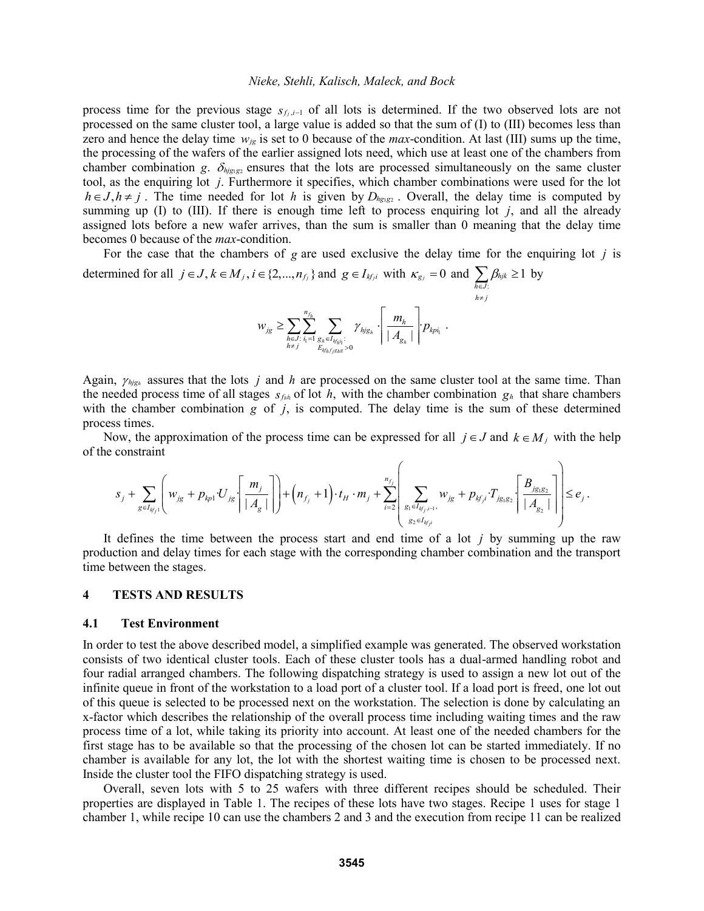process time for the previous stage  $s_{f_j,i-1}$  of all lots is determined. If the two observed lots are not processed on the same cluster tool, a large value is added so that the sum of (I) to (III) becomes less than zero and hence the delay time  $w_{jk}$  is set to 0 because of the *max*-condition. At last (III) sums up the time, the processing of the wafers of the earlier assigned lots need, which use at least one of the chambers from chamber combination g.  $\delta_{hjgg2}$  ensures that the lots are processed simultaneously on the same cluster tool, as the enquiring lot *j*. Furthermore it specifies, which chamber combinations were used for the lot  $h \in J, h \neq j$ . The time needed for lot h is given by  $D_{hgsg_2}$ . Overall, the delay time is computed by summing up  $(I)$  to  $(III)$ . If there is enough time left to process enquiring lot  $j$ , and all the already assigned lots before a new wafer arrives, than the sum is smaller than 0 meaning that the delay time becomes 0 because of the *max*-condition.

For the case that the chambers of  $g$  are used exclusive the delay time for the enquiring lot  $j$  is determined for all  $j \in J$ ,  $k \in M_j$ ,  $i \in \{2,...,n_f\}$  and  $g \in I_{k f, i}$  with  $\kappa_{g} = 0$  and :  $h_{ijk} \geq 1$ *h J*  $\beta_l$  $\sum_{h \in J} \beta_{hjk} \ge 1$  by

$$
w_{j_{g}} \geq \sum_{h \in J} \sum_{i_{1} = 1}^{n_{f_{h}}} \sum_{g_{h} \in I_{\mathcal{Y}_{h}^{i_{1}}}: \atop E_{\mathcal{Y}_{h}^{j_{h}^{j}} \cap B_{\mathcal{Y}_{\mathcal{B}^{k}}}>0}} \gamma_{\mathit{h}^{j}_{g_{h}}} \left\lceil \frac{m_{h}}{\lceil A_{g_{h}} \rceil} \right\rceil p_{\mathit{k}^{j_{h}^{j}}}.
$$

 $h \neq j$ 

≠

Again,  $\gamma_{hjgh}$  assures that the lots *j* and *h* are processed on the same cluster tool at the same time. Than the needed process time of all stages  $s_{f,h}$  of lot h, with the chamber combination  $g_h$  that share chambers with the chamber combination  $g$  of  $j$ , is computed. The delay time is the sum of these determined process times.

Now, the approximation of the process time can be expressed for all  $j \in J$  and  $k \in M_j$  with the help of the constraint ssed for all  $j \in J$  and  $k \in M_j$  with the help<br>  $\begin{pmatrix} 1 & 1 \end{pmatrix}$ 

The channel of the process time can be expressed for all 
$$
j \in J
$$
 and  $k \in M_j$  with the help  
constraint  

$$
s_j + \sum_{g \in I_{kj_1}} \left( w_{j_g} + p_{kp_1} U_{j_g} \left[ \frac{m_j}{|A_g|} \right] \right) + \left( n_{f_j} + 1 \right) \cdot t_H \cdot m_j + \sum_{i=2}^{n_{f_j}} \left( \sum_{g_i \in I_{kj_j,i-1}} w_{j_g} + p_{kj_j} \cdot T_{j_{g_i}g_2} \left[ \frac{B_{j_{g_i}g_2}}{|A_{g_2}|} \right] \right) \le e_j.
$$

It defines the time between the process start and end time of a lot  $j$  by summing up the raw production and delay times for each stage with the corresponding chamber combination and the transport time between the stages.

### **4 TESTS AND RESULTS**

#### **4.1 Test Environment**

In order to test the above described model, a simplified example was generated. The observed workstation consists of two identical cluster tools. Each of these cluster tools has a dual-armed handling robot and four radial arranged chambers. The following dispatching strategy is used to assign a new lot out of the infinite queue in front of the workstation to a load port of a cluster tool. If a load port is freed, one lot out of this queue is selected to be processed next on the workstation. The selection is done by calculating an x-factor which describes the relationship of the overall process time including waiting times and the raw process time of a lot, while taking its priority into account. At least one of the needed chambers for the first stage has to be available so that the processing of the chosen lot can be started immediately. If no chamber is available for any lot, the lot with the shortest waiting time is chosen to be processed next. Inside the cluster tool the FIFO dispatching strategy is used.

Overall, seven lots with 5 to 25 wafers with three different recipes should be scheduled. Their properties are displayed in Table 1. The recipes of these lots have two stages. Recipe 1 uses for stage 1 chamber 1, while recipe 10 can use the chambers 2 and 3 and the execution from recipe 11 can be realized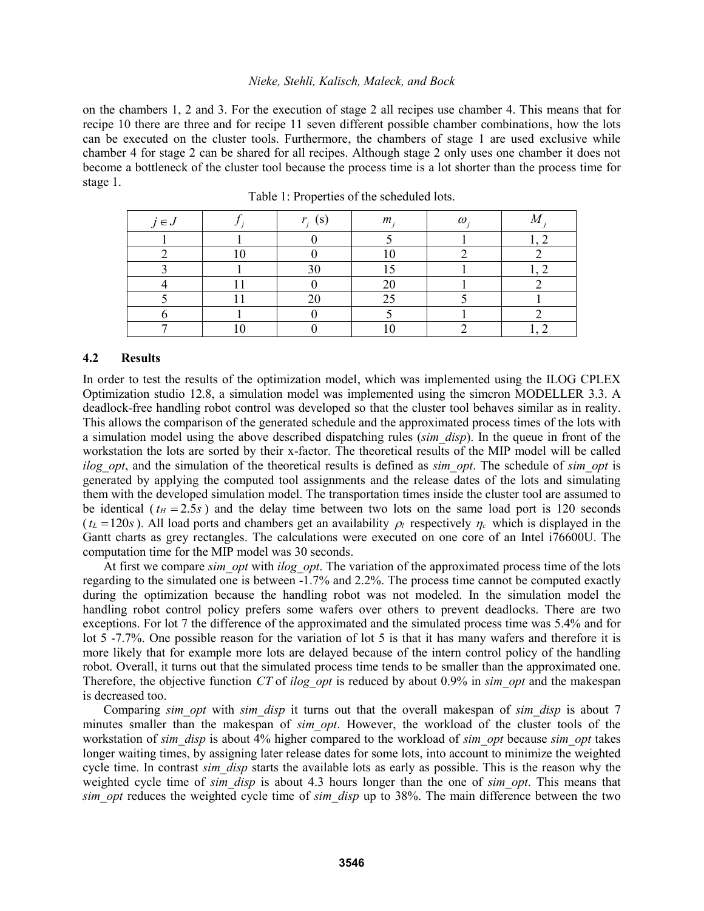on the chambers 1, 2 and 3. For the execution of stage 2 all recipes use chamber 4. This means that for recipe 10 there are three and for recipe 11 seven different possible chamber combinations, how the lots can be executed on the cluster tools. Furthermore, the chambers of stage 1 are used exclusive while chamber 4 for stage 2 can be shared for all recipes. Although stage 2 only uses one chamber it does not become a bottleneck of the cluster tool because the process time is a lot shorter than the process time for stage 1.

| $j \in J$ | $r_i$ (S) | m <sub>i</sub> | $\omega$ |  |
|-----------|-----------|----------------|----------|--|
|           |           |                |          |  |
|           |           |                |          |  |
|           | 30        |                |          |  |
|           |           | 20             |          |  |
|           | າເ        | 25             |          |  |
|           |           |                |          |  |
|           |           |                |          |  |

Table 1: Properties of the scheduled lots.

#### **4.2 Results**

In order to test the results of the optimization model, which was implemented using the ILOG CPLEX Optimization studio 12.8, a simulation model was implemented using the simcron MODELLER 3.3. A deadlock-free handling robot control was developed so that the cluster tool behaves similar as in reality. This allows the comparison of the generated schedule and the approximated process times of the lots with a simulation model using the above described dispatching rules (*sim\_disp*). In the queue in front of the workstation the lots are sorted by their x-factor. The theoretical results of the MIP model will be called *ilog opt*, and the simulation of the theoretical results is defined as *sim opt*. The schedule of *sim opt* is generated by applying the computed tool assignments and the release dates of the lots and simulating them with the developed simulation model. The transportation times inside the cluster tool are assumed to be identical ( $t_H = 2.5s$ ) and the delay time between two lots on the same load port is 120 seconds  $(t_L = 120s)$ . All load ports and chambers get an availability  $\rho_l$  respectively  $\eta_c$  which is displayed in the Gantt charts as grey rectangles. The calculations were executed on one core of an Intel i76600U. The computation time for the MIP model was 30 seconds.

At first we compare *sim\_opt* with *ilog\_opt*. The variation of the approximated process time of the lots regarding to the simulated one is between -1.7% and 2.2%. The process time cannot be computed exactly during the optimization because the handling robot was not modeled. In the simulation model the handling robot control policy prefers some wafers over others to prevent deadlocks. There are two exceptions. For lot 7 the difference of the approximated and the simulated process time was 5.4% and for lot 5 -7.7%. One possible reason for the variation of lot 5 is that it has many wafers and therefore it is more likely that for example more lots are delayed because of the intern control policy of the handling robot. Overall, it turns out that the simulated process time tends to be smaller than the approximated one. Therefore, the objective function CT of *ilog opt* is reduced by about 0.9% in *sim opt* and the makespan is decreased too.

Comparing *sim\_opt* with *sim\_disp* it turns out that the overall makespan of *sim\_disp* is about 7 minutes smaller than the makespan of *sim\_opt*. However, the workload of the cluster tools of the workstation of *sim\_disp* is about 4% higher compared to the workload of *sim\_opt* because *sim\_opt* takes longer waiting times, by assigning later release dates for some lots, into account to minimize the weighted cycle time. In contrast *sim* disp starts the available lots as early as possible. This is the reason why the weighted cycle time of *sim\_disp* is about 4.3 hours longer than the one of *sim\_opt*. This means that *sim\_opt* reduces the weighted cycle time of *sim\_disp* up to 38%. The main difference between the two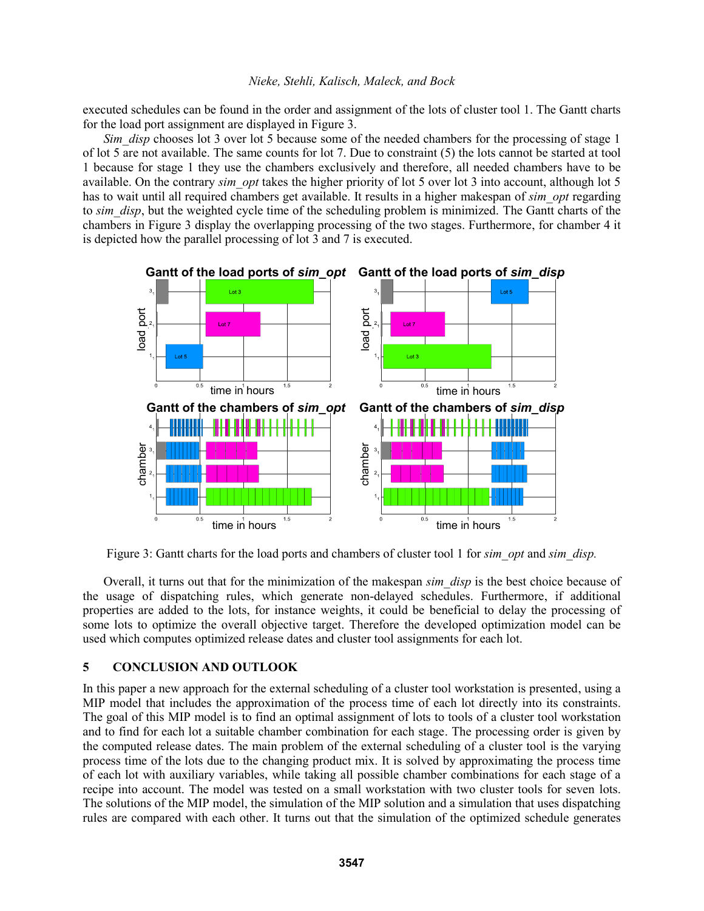executed schedules can be found in the order and assignment of the lots of cluster tool 1. The Gantt charts for the load port assignment are displayed in Figure 3.

*Sim\_disp* chooses lot 3 over lot 5 because some of the needed chambers for the processing of stage 1 of lot 5 are not available. The same counts for lot 7. Due to constraint (5) the lots cannot be started at tool 1 because for stage 1 they use the chambers exclusively and therefore, all needed chambers have to be available. On the contrary *sim\_opt* takes the higher priority of lot 5 over lot 3 into account, although lot 5 has to wait until all required chambers get available. It results in a higher makespan of *sim\_opt* regarding to *sim* disp, but the weighted cycle time of the scheduling problem is minimized. The Gantt charts of the chambers in Figure 3 display the overlapping processing of the two stages. Furthermore, for chamber 4 it is depicted how the parallel processing of lot 3 and 7 is executed.



Figure 3: Gantt charts for the load ports and chambers of cluster tool 1 for *sim\_opt* and *sim\_disp.*

Overall, it turns out that for the minimization of the makespan *sim\_disp* is the best choice because of the usage of dispatching rules, which generate non-delayed schedules. Furthermore, if additional properties are added to the lots, for instance weights, it could be beneficial to delay the processing of some lots to optimize the overall objective target. Therefore the developed optimization model can be used which computes optimized release dates and cluster tool assignments for each lot.

## **5 CONCLUSION AND OUTLOOK**

In this paper a new approach for the external scheduling of a cluster tool workstation is presented, using a MIP model that includes the approximation of the process time of each lot directly into its constraints. The goal of this MIP model is to find an optimal assignment of lots to tools of a cluster tool workstation and to find for each lot a suitable chamber combination for each stage. The processing order is given by the computed release dates. The main problem of the external scheduling of a cluster tool is the varying process time of the lots due to the changing product mix. It is solved by approximating the process time of each lot with auxiliary variables, while taking all possible chamber combinations for each stage of a recipe into account. The model was tested on a small workstation with two cluster tools for seven lots. The solutions of the MIP model, the simulation of the MIP solution and a simulation that uses dispatching rules are compared with each other. It turns out that the simulation of the optimized schedule generates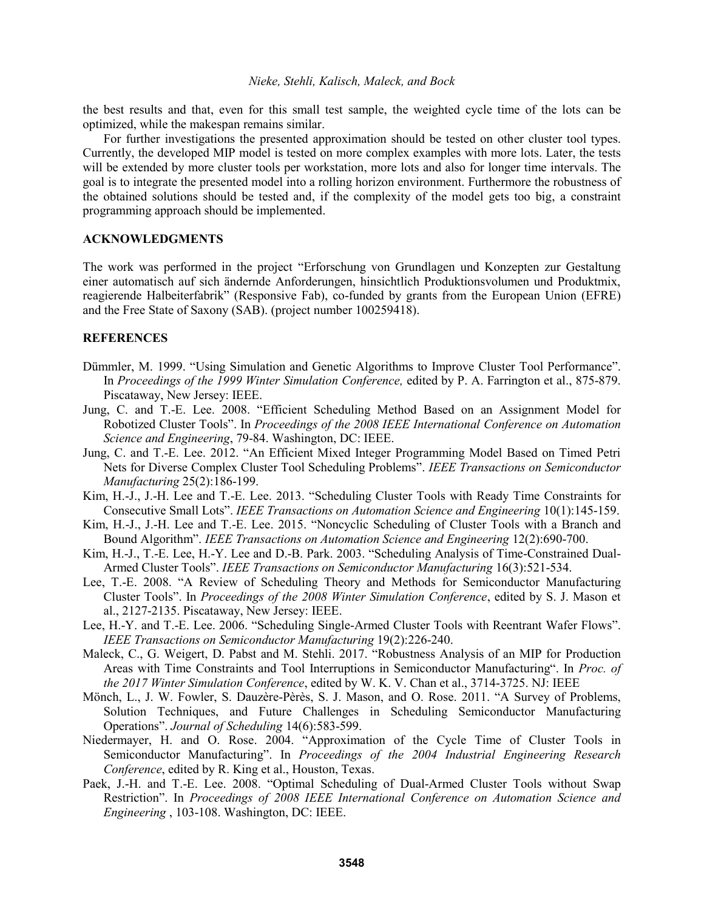the best results and that, even for this small test sample, the weighted cycle time of the lots can be optimized, while the makespan remains similar.

For further investigations the presented approximation should be tested on other cluster tool types. Currently, the developed MIP model is tested on more complex examples with more lots. Later, the tests will be extended by more cluster tools per workstation, more lots and also for longer time intervals. The goal is to integrate the presented model into a rolling horizon environment. Furthermore the robustness of the obtained solutions should be tested and, if the complexity of the model gets too big, a constraint programming approach should be implemented.

### **ACKNOWLEDGMENTS**

The work was performed in the project "Erforschung von Grundlagen und Konzepten zur Gestaltung einer automatisch auf sich ändernde Anforderungen, hinsichtlich Produktionsvolumen und Produktmix, reagierende Halbeiterfabrik" (Responsive Fab), co-funded by grants from the European Union (EFRE) and the Free State of Saxony (SAB). (project number 100259418).

### **REFERENCES**

- Dümmler, M. 1999. "Using Simulation and Genetic Algorithms to Improve Cluster Tool Performance". In *Proceedings of the 1999 Winter Simulation Conference,* edited by P. A. Farrington et al., 875-879. Piscataway, New Jersey: IEEE.
- Jung, C. and T.-E. Lee. 2008. "Efficient Scheduling Method Based on an Assignment Model for Robotized Cluster Tools". In *Proceedings of the 2008 IEEE International Conference on Automation Science and Engineering*, 79-84. Washington, DC: IEEE.
- Jung, C. and T.-E. Lee. 2012. "An Efficient Mixed Integer Programming Model Based on Timed Petri Nets for Diverse Complex Cluster Tool Scheduling Problems". *IEEE Transactions on Semiconductor Manufacturing* 25(2):186-199.
- Kim, H.-J., J.-H. Lee and T.-E. Lee. 2013. "Scheduling Cluster Tools with Ready Time Constraints for Consecutive Small Lots". *IEEE Transactions on Automation Science and Engineering* 10(1):145-159.
- Kim, H.-J., J.-H. Lee and T.-E. Lee. 2015. "Noncyclic Scheduling of Cluster Tools with a Branch and Bound Algorithm". *IEEE Transactions on Automation Science and Engineering* 12(2):690-700.
- Kim, H.-J., T.-E. Lee, H.-Y. Lee and D.-B. Park. 2003. "Scheduling Analysis of Time-Constrained Dual-Armed Cluster Tools". *IEEE Transactions on Semiconductor Manufacturing* 16(3):521-534.
- Lee, T.-E. 2008. "A Review of Scheduling Theory and Methods for Semiconductor Manufacturing Cluster Tools". In *Proceedings of the 2008 Winter Simulation Conference*, edited by S. J. Mason et al., 2127-2135. Piscataway, New Jersey: IEEE.
- Lee, H.-Y. and T.-E. Lee. 2006. "Scheduling Single-Armed Cluster Tools with Reentrant Wafer Flows". *IEEE Transactions on Semiconductor Manufacturing* 19(2):226-240.
- Maleck, C., G. Weigert, D. Pabst and M. Stehli. 2017. "Robustness Analysis of an MIP for Production Areas with Time Constraints and Tool Interruptions in Semiconductor Manufacturing". In *Proc. of the 2017 Winter Simulation Conference*, edited by W. K. V. Chan et al., 3714-3725. NJ: IEEE
- Mönch, L., J. W. Fowler, S. Dauzère-Pèrès, S. J. Mason, and O. Rose. 2011. "A Survey of Problems, Solution Techniques, and Future Challenges in Scheduling Semiconductor Manufacturing Operations". *Journal of Scheduling* 14(6):583-599.
- Niedermayer, H. and O. Rose. 2004. "Approximation of the Cycle Time of Cluster Tools in Semiconductor Manufacturing". In *Proceedings of the 2004 Industrial Engineering Research Conference*, edited by R. King et al., Houston, Texas.
- Paek, J.-H. and T.-E. Lee. 2008. "Optimal Scheduling of Dual-Armed Cluster Tools without Swap Restriction". In *Proceedings of 2008 IEEE International Conference on Automation Science and Engineering* , 103-108. Washington, DC: IEEE.